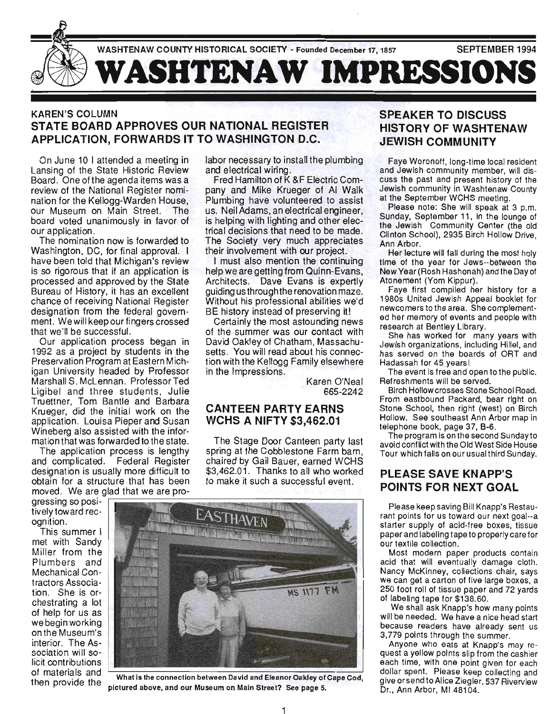

#### KAREN'S COLUMN STATE BOARD APPROVES OUR NATIONAL REGISTER APPLICATION, FORWARDS IT TO WASHINGTON D.C.

On June 10 I attended a meeting in Lansing of the State Historic Review Board. One of the agenda items was a review of the National Register nomination for the Kellogg-Warden House, our Museum on Main Street. The board voted unanimously in favor of our application.

The nomination now is forwarded to Washington, DC, for final approval. I have been told that Michigan's review is so rigorous that if an application is processed and approved by the State Bureau of History, it has an excellent chance of receiving National Register designation from the federal government. We will keep our fingers crossed that we'll be successful.

Our application process began in 1992 as a project by students in the Preservation Program at Eastern Michigan University headed by Professor Marshall S. McLennan. Professor Ted Ligibel and three students, Julie Truettner, Tom Bantle and Barbara Krueger, did the initial work on the **CANTEEN PARTY EARNS** application. Louisa Pieper and Susan WCHS A NIFTY \$3,462.01 Wineberg also assisted with the information that was forwarded to the state.

The application process is lengthy and complicated. Federal Register designation is usually more difficult to obtain for a structure that has been moved. We are glad that we are pro-

gressing so positively toward recognition.

This su mmer I met with Sandy Miller from the Plumbers and Mechanical Contractors Association. She is orchestrating a lot of help for us as we begin working on the Museum's interior. The Association will solicit contributions labor necessary to install the plumbing and electrical wiring.

Fred Hamilton of K &F Electric Company and Mike Krueger of AI Walk Plumbing have volunteered to assist us. Neil Adams, an electrical engineer, is helping with lighting and other electrical decisions that need to be made. The Society very much appreciates their involvement with our project.

I must also mention the continuing help we are getting from Quinn-Evans, Architects. Dave Evans is expertly guiding us through the renovation maze. Without his professional abilities we'd BE history instead of preserving it!

Certainly the most astounding news of the summer was our contact with David Oakley of Chatham, Massachusetts. You will read about his connection with the Kellogg Family elsewhere in the Impressions.

> Karen O'Neal 665-2242

The Stage Door Canteen party last spring at the Cobblestone Farm barn, chaired by Gail Bauer, earned WCHS \$3,462.01. Thanks to all who worked to make it such a successful event.



of materials and What is the connection between David and Eleanor Oakley of Cape Cod, then provide the sidured shows and cur Museum on Main Chapel Cape Cod, pictured above, and our Museum on Main Street? See page 5.

# SPEAKER TO DISCUSS HISTORY OF WASHTENAW JEWISH COMMUNITY

Faye Woronoff, long-time local resident and Jewish community member, will discuss the past and present history of the Jewish community in Washtenaw County at the September WCHS meeting.

Please note: She will speak at 3 p.m. Sunday, September 11, in the lounge of the Jewish Community Center (the old Clinton School), 2935 Birch Hollow Drive, Ann Arbor.

Her lecture will fall during the most holy time of the year for Jews--between the New Year (Rosh Hashonah) and the Day of Atonement (Yom Kippur).

Faye first compiled her history for a 1980s United Jewish Appeal booklet for newcomers to the area. She complemented her memory of events and people with research at Bentley Library.

She has worked for many years with Jewish organizations, including Hillel, and has served on the boards of ORT and Hadassah for 45 yearsl

The event is free and open to the public. Refreshments will be served.

Birch Hollowcrosses Stone School Road. From eastbound Packard, bear right on Stone School, then right (west) on Birch Hollow. See southeast Ann Arbor map in telephone book, page 37, B-6.

The program is on the second Sunday to avoid conflict with the Old West Side House Tour which falls on our usual third Sunday.

#### PLEASE SAVE KNAPP'S POINTS FOR NEXT GOAL

Please keep saving Bill Knapp's Restaurant points for us toward our next goal--a starter supply of acid-free boxes, tissue paper and labeling tape to properly care for our textile collection.

Most modern paper products contain acid that will eventually damage cloth. Nancy McKinney, collections chair, says we can get a carton of five large boxes, a 250 foot roll of tissue paper and 72 yards of labeling tape for \$138.60.

We shall ask Knapp's how many points will be needed. We have a nice head start because readers have already sent us 3,779 points through the summer.

Anyone who eats at Knapp's may request a yellow points Slip from the cashier each time, with one point given for each dollar spent. Please keep collecting and give or send to Alice Ziegler, 537 Riverview Dr., Ann Arbor, MI 48104.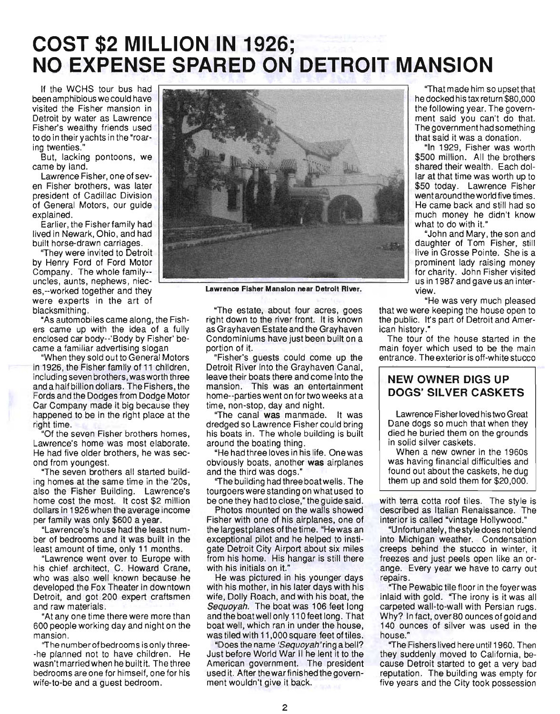# **COST \$2 MILLION IN 1926; NO EXPENSE SPARED ON DETROIT MANSION**

If the WCHS tour bus had been amphibious we could have visited the Fisher mansion in Detroit by water as Lawrence Fisher's wealthy friends used to do in their yachts in the "roaring twenties."

But, lacking pontoons, we came by land.

Lawrence Fisher, one of seven Fisher brothers, was later president of Cadillac Division of General Motors, our guide explained.

Earlier, the Fisherfamily had lived in Newark, Ohio, and had built horse-drawn carriages.

"They were invited to Detroit by Henry Ford of Ford Motor Company. The whole family- uncles, aunts, nephews, nieceS,--worked together and they were experts in the art of blacksmithing.

"As automobiles came along, the Fishers came up with the idea of a fully enclosed car body--'Body by Fisher' became a familiar advertising slogan

"When they sold out to General Motors in 1926, the Fisher family of 11 children, including seven brothers, was worth three and a half billion dollars. The Fishers, the Fords and the Dodges from Dodge Motor Car Company made it big because they happened to be in the right place at the right time.

"Of the seven Fisher brothers homes , Lawrence's home was most elaborate. He had five older brothers, he was second from youngest.

"The seven brothers all started building homes at the same time in the '20s, also the Fisher Building. Lawrence's home cost the most. It cost \$2 million dollars in 1926 when the average income per fam ily was only \$600 a year.

"Lawrence's house had the least number of bedrooms and it was built in the least amount of time, only 11 months.

"Lawrence went over to Europe with his chief architect, C. Howard Crane, who was also well known because he developed the Fox Theater in downtown Detroit, and got 200 expert craftsmen and raw materials .

"At anyone time there were more than 600 people working day and night on the mansion.

"The number of bedrooms is only three- -he planned not to have children . He wasn't married when he built it. The three bedrooms are one for himself, one for his wife-to-be and a guest bedroom.



Lawrence Fisher Mansion near Detroit River.

"The estate, about four acres, goes right down to the river front. It is known as Grayhaven Estate and the Grayhaven Condominiums have just been built on a portion of it.

"Fisher's guests could come up the Detroit River into the Grayhaven Canal, leave their boats there and come into the mansion. This was an entertainment home--parties went on for two weeks at a time, non-stop, day and night.

"The canal was manmade. It was dredged so Lawrence Fisher could bring his boats in. The whole building is built around the boating thing.

"He had three loves in his life. One was obviously boats, another was airplanes and the third was dogs."

"The building had three boat wells. The tourgoers were standing on what used to be one they had to close," the guide said.

Photos mounted on the walls showed Fisher with one of his airplanes, one of the largest planes of the time. "He was an exceptional pilot and he helped to instigate Detroit City Airport about six miles from his home. His hangar is still there with his initials on it."

He was pictured in his younger days with his mother, in his later days with his wife, Dolly Roach, and with his boat, the Sequoyah. The boat was 106 feet long and the boat well only 110 feet long. That boat well, which ran in under the house, was tiled with 11,000 square feet of tiles.

"Does the name 'Sequoyah' ring a bell? Just before World War II he lent it to the American government. The president used it. After the war finished the government wouldn't give it back.

"That made him so upsetthat he docked his tax return \$80,000 the following year. The government said you can't do that. The government had something that said it was a donation.

"In 1929, Fisher was worth \$500 million. All the brothers shared their wealth. Each dollar at that time was worth up to \$50 today. Lawrence Fisher went around the world five times. He came back and still had so much money he didn't know what to do with it."

"John and Mary , the son and daughter of Tom Fisher, still live in Grosse Pointe. She is a prominent lady raising money for charity. John Fisher visited us in 1987 and gave us an interview.

"He was very much pleased that we were keeping the house open to the public. It's part of Detroit and American history."

The tour of the house started in the main foyer which used to be the main entrance. The exterior is off-white stucco

# **NEW OWNER DIGS UP**  DOGS' **SILVER CASKETS**

Lawrence Fisher loved his two Great Dane dogs so much that when they died he buried them on the grounds in solid silver caskets.

When a new owner in the 1960s was having financial difficulties and found out about the caskets, he dug them up and sold them for \$20,000.

with terra cotta roof tiles. The style is described as Italian Renaissance. The interior is called "vintage Hollywood."

"U nfortunately, the style does not blend into Michigan weather. Condensation creeps behind the stucco in winter, it freezes and just peels open like an orange. Every year we have to carry out repairs.

"The Pewabic tile floor in the foyer was inlaid with gold. "The irony is it was all carpeted wall-to-wall with Persian rugs. Why? In fact, over 80 ounces of gold and 140 ounces of silver was used in the house."

"The Fishers lived here until 1960. Then they suddenly moved to California, because Detroit started to get a very bad reputation. The building was empty for five years and the City took possession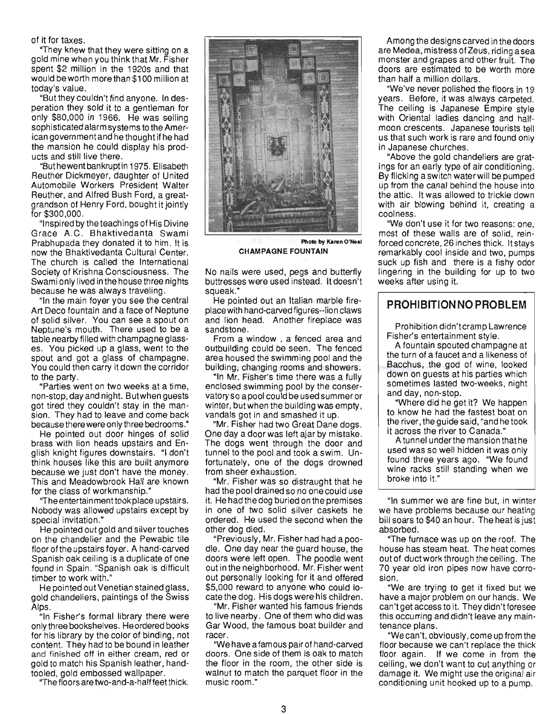of it for taxes.

TOF LAXUS.<br>"have known that they were sitting on a  $\alpha$  register matrice were sitting on a gold mine when you think that Mr. Fisher<br>spent \$2 million in the 1920s and that would beworth morethan \$1 00 million at today's value.

today's value.<br>"But they couldn't find anyone. In desperation they sold it to a gentleman for only \$80,000 in 1966. He was selling sophisticated alarm systems to the Amerpriisticated alamisystems to the Amer-<br>ee seus tement and he thought if he had ican government and he thought if he had the mansion he could display his products and still live there. "But hewent bankrupt".<br>Dit harvest bankrupt in 1975. Elisabeth

Reuther Dickmeyer, daughter of United Reuther Dickmeyer, daughter of United Automobile Workers President Walter Reuther, and Alfred Bush Ford, a greatgrandson of Henry Ford, bought it jointly<br>for \$300,000. pouu,uuu.<br>sesired by the teachings of His Divine

Grace A.C. Bhaktivedanta Swami race A.U. Dilaktive dalita owallil rapnupada mey donaled it to mm. it is now the Bhaktivedanta Cultural Center. The church is called the International Society of Krishna Consciousness. The Swami only Missilla Consciousness. The wami only lived in the house three mg duse he was diways traveling.<br>a the main fouer you see the central

Art Deco fountain and a face of Neptune Art Deco fountain and a face of Neptune of solid silver. You can see a spout on Neptune's mouth. There used to be a table nearby filled with champagne glasses. You picked up a glass, went to the spout and got a glass of champagne. You could then carry it down the corridor<br>to the party.

"Parties went on two weeks at a time, non-stop, weiter die two weeks at a unternon-stop, day and night. Butwhen guests got tired they couldn't stay in the mansion. They had to leave and come back because there were only three bedrooms."

He pointed out door hinges of solid brass with lion heads upstairs and English knight figures downstairs. "I don't think houses like this are built anymore because we just don't have the money. This and Meadowbrook Hall are known<br>for the class of workmanship." ITHE CIRSS OF WOLKHRISHIP.<br>The entertainment to almhan upstairs.

Nobody was allowed upstairs except by Nobody was allowed upstairs except by special invitation." Gial Invitation.<br>Secolated out gold and silver touches

on the chandelier and the Pewabic tile on the chandelier and the Pewabic tile. floor of the upstairs foyer. A hand-carved Spanish oak ceiling is a duplicate of one found in Spain. "Spanish oak is difficult timber to work with." Her to work with.<br>sessisted out Venetian stained glass,

re pointed out venetian stamed grass, gold chandeliers, paintings of the Swiss<br>Alps. ).<br>. Fisher's formal library there were

only three bookshelves. He ordered books only three bookshelves. He ordered books for his library by the color of binding, not content. They had to be bound in leather and finished off in either cream, red or gold to match his Spanish leather, hand-

tooled, gold embossed wallpaper.<br>"The floors are two-and-a-halffeet thick.



**CHAMPAGNE FOUNTAIN** 

No nails were used, pegs and butterfly buttresses were used instead. It doesn't squeak." squeak."<br>He pointed out an Italian marble fire-

place with hand-carved figures--lion claws ace with hand-carved lightes-hon claws sandstone.<br>Sedete en From a window , a fenced area and

outbuilding could be seen. The fenced outbuilding could be seen. The fenced area housed the swimming pool and the building, changing rooms and showers.

"In Mr. Fisher's time there was a fully enclosed swimming pool by the conservatory so a pool could be used summer or winter, but when the building was empty, vandals got in and smashed it up.

'Mr. Fisher had two Great Dane dogs. One day a door was left ajar by mistake. The dogs went through the door and tunnel to the pool and took a swim. Unfortunately, one of the dogs drowned<br>from sheer exhaustion. "Mr. Fisher was so distraught that he was so distraught that he

had the pool drained so distraught that he had the pool drained so no one could use it. He had the dog buried on the premises in one of two solid silver caskets he ordered. He used the second when the other dog died. er dog died.<br>Previously, Mr. Fisher had had a poo

dle. One day near the guard house, the dle. One day near the guard house, the doors were left open. The poodle went out in the neighborhood. Mr. Fisher went out personally looking for it and offered \$5,000 reward to anyone who could locate the dog. His dogs were his children.

"Mr. Fisher wanted his famous friends to live nearby. One of them who did was Gar Wood, the famous boat builder and<br>racer. "We have a famous pair of hand-carved

doors. One side of them is oak to match doors. One side of them is oak to match the floor in the room, the other side is walnut to match the parquet floor in the music room."

Among the designs carved in the doors are Medea, mistress of Zeus, riding asea are Medea, mistress of Zeus, riding a sea monster and grapes and other fruit. The doors are estimated to be worth more than half a million dollars.

"We've never polished the floors in 19 years. Before, it was always carpeted . The ceiling is Japanese Empire style with Oriental ladies dancing and halfmoon crescents. Japanese tourists tell us that such work is rare and found only. s triat Such work is rare. in Japanese churches.<br>"Above the gold chandeliers are grat-

ADOVE THE GOID CHANDENERS ARE GRAP gs for an early type of air conditioning.<br>William a switch waterwill be pumped By flicking a switch water will be pumped<br>up from the canal behind the house into the attic. It was allowed to trickle down with air blowing behind it, creating a illi all Diu<br>........ "We don't use it for two reasons: one,

we don't use it for two reasons, one, forced concrete, 26 inches thick. Itstays remarkably cool inside and two, pumps such value up fish and there is a fish update. lingering in the building for up to two lingering in the building for up to two<br>weeks after using it.

#### **PROHIBITION NO PROBLEM**

Prohibition didn't cramp Lawrence Fisher's entertainment style. Fisher's entertainment style.

A fountain spouted champagne at the turn of a faucet and a likeness of Bacchus, the god of wine, looked down on quests at his parties which sometimes lasted two-weeks, night<br>and day, non-stop. "Way, NON-SLOP.<br>"Where did he get it?" We happen

to write the manufacture of the fastest boat on to know he had the fastest boat on the river, the quide said, "and he took it across the river to Canada."

A tunnel under the mansion that he used was so well hidden it was only found three years ago. "We found wine racks still standing when we<br>broke into it."

"In summer we are fine but, in winter If it summer we are line out, in winter we have problems because our heating. bill soars to \$40 an hour. The heat is just<br>absorbed. "The furnace was up on the roof. The

house was up on the roof. The house has steam heat. The heat comes out of duct work through the ceiling. The 70 year old iron pipes now have corro-<br>sion. l.<br>Me ere trying to get it fixed but we

have a major problem on our hands. We have a major problem on our hands. We can't get access to it. They didn't foresee this occurring and didn't leave any main-<br>tenance plans. "We can't, obviously,come up from the

**floor because we can't replace the thick** floor because we can't replace the thick floor again. If we come in from the ceiling, we don't want to cut anything or damage it. We might use the original air conditioning unit hooked up to a pump.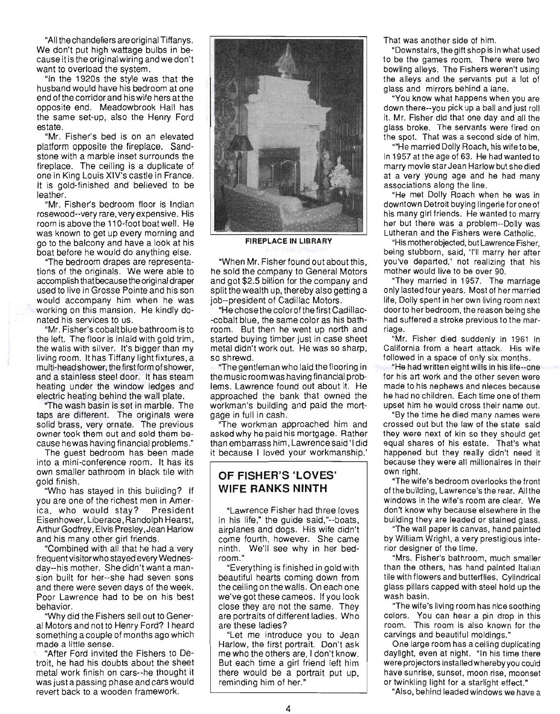"All the chandeliers are original Tiffanys. We don't put high wattage bulbs in because it is the original wiring andwe don't want to overload the system.

"In the 1920s the style was that the husband would have his bedroom at one end of the corridor and his wife hers at the opposite end. Meadowbrook Hall has the same set-up, also the Henry Ford estate.

"Mr. Fisher's bed is on an elevated platform opposite the fireplace. Sandstone with a marble inset surrounds the fireplace. The ceiling is a duplicate of one in King Louis XIV's castle in France. It is gold-finished and believed to be leather.

"Mr. Fisher's bedroom floor is Indian rosewood--very rare, very expensive. His room is above the 11 O-foot boat well. He was known to get up every morning and go to the balcony and have a look at his boat before he would do anything else.

"The bedroom drapes are representations of the originals. We were able to accomplish that because the original draper used to live in Grosse Pointe and his son would accompany him when he was working on this mansion. He kindly donated his services to us.

"Mr. Fisher's cobalt blue bathroom is to the left. The floor is inlaid with gold trim, the walls with silver. It's bigger than my living room. It has Tiffany light fixtures, a multi-head shower, the first form of shower, and a stainless steel door. It has steam heating under the window ledges and electric heating behind the wall plate.

"The wash basin is set in marble. The taps are different. The originals were solid brass, very ornate. The previous owner took them out and sold them because hewas having financial problems."

The guest bedroom has been made into a mini-conference room. It has its own smaller bathroom in black tile with gold finish.

"Who has stayed in this building? If you are one of the richest men in America, who would stay? President Eisenhower, Liberace, Randolph Hearst, Arthur Godfrey, Elvis Presley, Jean Harlow and his many other girl friends .

"Combined with all that he had a very frequent visitor who stayed every Wednesday--his mother. She didn't want a mansion built for her--she had seven sons and there were seven days of the week. Poor Lawrence had to be on his best behavior.

"Why did the Fishers sell out to General Motors and not to Henry Ford? I heard something a couple of months ago which made a little sense.

"After Ford invited the Fishers to Detroit, he had his doubts about the sheet metal work finish on cars--he thought it was just a passing phase and cars would revert back to a wooden framework.



**FIREPLACE IN LIBRARY** 

"When Mr. Fisher found out about this, he sold the company to General Motors and got \$2.5 billion for the company and split the wealth up, thereby also getting a job--president of Cadillac Motors.

"He chose the colorofthe first Cadillac- -cobalt blue, the same color as his bathroom. But then he went up north and started buying timber just in case sheet metal didn't work out. He was so sharp, so shrewd.

"The gentleman who laid the flooring in the music room was having financial problems. Lawrence found out about it. He approached the bank that owned the workman's building and paid the mortgage in full in cash.

"The workman approached him and asked why he paid his mortgage. Rather than em barrass him , Lawrence said' I did it because I loved your workmanship.'

#### **OF FISHER'S 'LOVES' WIFE RANKS NINTH**

"Lawrence Fisher had three loves in his life," the guide said,"--boats, airplanes and dogs. His wife didn't come fourth, however. She came ninth. We'll see why in her bedroom."

"Everything is finished in gold with beautiful hearts coming down from the ceiling on the walls . On each one we've got these cameos. If you look close they are not the same. They are portraits of different ladies. Who are these ladies?

"Let me introduce you to Jean Harlow, the first portrait. Don't ask me who the others are, I don't know. But each time a girl friend left him there would be a portrait put up, reminding him of her."

That was another side of him.

"Downstairs, the gift shop is in what used to be the games room. There were two bowling alleys. The Fishers weren't using the alleys and the servants put a lot of glass and mirrors behind a lane.

"You know what happens when you are down there--you pick up a ball and just roll it. Mr. Fisher did that one day and all the glass broke. The servants were fired on the spot. That was a second side of him.

""He married Dolly Roach, his wife to be, in 1957 at the age of 63. He had wanted to marry movie star Jean Harlow but she died at a very young age and he had many associations along the line.

"He met Dolly Roach when he was in downtown Detroit buying lingerie for one of his many girl friends. He wanted to marry her but there was a problem--Dolly was Lutheran and the Fishers were Catholic.

"His mother objected, but Lawrence Fisher, being stubborn, said, "'II marry her after you've departed,' not realizing that his mother would live to be over 90.

"They married in 1957. The marriage only lasted four years. Most of her married life, Dolly spent in her own living room next doorto her bedroom, the reason being she had suffered a stroke previous to the marriage.

"Mr. Fisher died suddenly in 1961 in California from a heart attack. His wife followed in a space of only six months.

"He had written eight wills in his life--one for his art work and the other seven were made to his nephews and nieces because he had no children. Each time one of them upset him he would cross their name out.

"By the time he died many names were crossed out but the law of the state said they were next of kin so they should get equal shares of his estate. That's what happened but they really didn't need it because they were all millionaires in their own right.

"The wife's bedroom overlooks the front of the building, Lawrence's the rear. Allthe windows in the wife's room are clear. We don't know why because elsewhere in the building they are leaded or stained glass.

"The wall paper is canvas, hand painted by William Wright, a very prestigious interior designer of the time.

"Mrs. Fisher's bathroom, much smaller than the others, has hand painted Italian tile with flowers and butterflies. Cylindrical glass pillars capped with steel hold up the wash basin.

"The wife's living room has nice soothing colors. You can hear a pin drop in this room. This room is also known for the carvings and beautiful moldings."

One large room has a ceiling duplicating daylight, even at night. "In his time there were projectors installed whereby you could have sunrise, sunset, moon rise, moonset or twinkling light for a starlight effect."

"Also, behind leaded windows we have a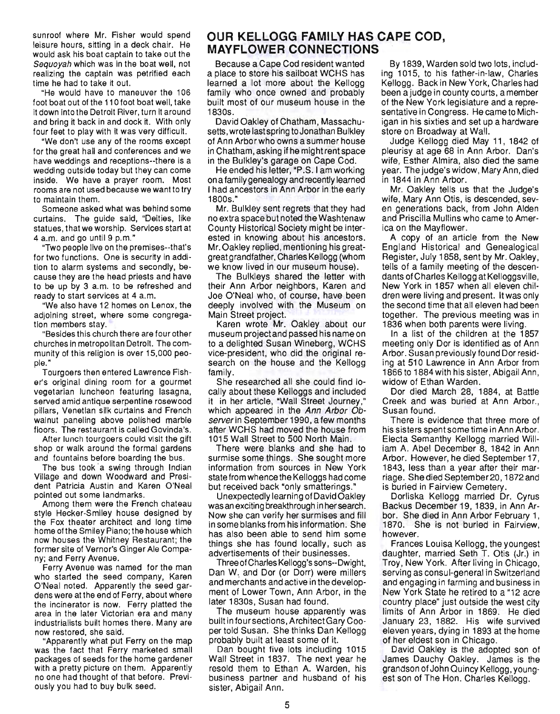sunroof where Mr. Fisher would spend leisure hours, sitting in a deck chair. He would ask his boat captain to take out the Sequoyah which was in the boat well, not realizing the captain was petrified each time he had to take it out.

"He would have to maneuver the 106 foot boat out of the 110 foot boat well, take it down into the Detroit River, turn it around and bring it back in and dock it. With only four feet to play with it was very difficult.

"We don't use any of the rooms except for the great hall and conferences and we have weddings and receptions--there is a wedding outside today but they can come inside. We have a prayer room. Most rooms are not used because we want to try to maintain them.

Someone asked what was behind some curtains. The guide said, "Deities, like statues, that we worship. Services start at 4 a.m. and go until 9 p.m."

"Two people live on the premises--that's for two functions. One is security in addition to alarm systems and secondly, because they are the head priests and have to be up by 3 a.m. to be refreshed and ready to start services at 4 a.m.

"We also have 12 homes on Lenox, the adjoining street, where some congregaation members at the members of the members of the members of the members of the members of the members of the tion members stay.<br>"Besides this church there are four other

churches in metropolitan Detroit. The community of this religion is over 15,000 peopunny<br>...

ple."<br>Tourgoers then entered Lawrence Fisher's original dining room for a gourmet vegetarian luncheon featuring lasagna, served amid antique serpentine rosewood pillars, Venetian silk curtains and French walnut paneling above polished marble alliul parleiling above polished fliatule

After lunch tourgoers could visit the gift After lunch tourgoers could visit the gift<br>shop or walk around the formal gardens and fountains before boarding the bus.

The bus took 'a swing through Indian Village and down Woodward and Presi-Village and down Woodward and Presi-<br>dent Patricia Austin and Karen O'Neal pointed out some landmarks.

Among them were the French chateau style Hecker-Smiley house designed by the Fox theater architect and long time. the Fox theater architect and long time<br>home of the Smiley Piano; the house which now houses the Whitney Restaurant; the ow nouses the winney restaurant, the ny; and Ferry Avenue.

ny; and Ferry Avenue.<br>Ferry Avenue was named for the man Felly Avellue was halled to the mail O'Neal noted. Apparently the seed gar-O'Neal noted. Apparently the seed gar-<br>dens were at the end of Ferry, about where ens were arrive end on Ferry, about where<br>is incinerator is now. Ferry platted the area in the later Victorian era and many ida ili tild latdi. Victoriali dia allu filally<br>dustrialists built homes there. Many are and restored, she said.

 $\alpha$  restored, stile sald.<br>Apparently what put Ferry on the map Apparently wildt put Ferry on the map as the fact that Ferry manded small with a pretty picture on them. Apparently with a pretty picture on them. Apparently no one had thought of that before. Previously you had to buy bulk seed.

# **OUR KELLOGG FAMILY HAS CAPE COD, MAYFLOWER CONNECTIONS**

Because a Cape Cod resident wanted a place to store his sailboat WCHS has learned a lot more about the Kellogg family who once owned and probably built most of our museum house in the 1830s.

David Oakley of Chatham, Massachusetts, wrote lastspring to Jonathan Bulkley of Ann Arborwho owns asummer house in Chatham, asking if he might rent space in the Bulkley's garage on Cape Cod.

He ended his letter, "P.S. I am working on a family genealogy and recently learned I had ancestors in Ann Arbor in the early 1800s."

Mr. Bulkley sent regrets that they had no extra space but noted the Washtenaw County Historical Society might be inter-County Historical Society might be inter-<br>ested in knowing about his ancestors. Mr. Oakley replied, mentioning his greatgreat grandfather, Charles Kellogg (whom we know lived in our museum house).

The Bulkleys shared the letter with their Ann Arbor neighbors, Karen and Joe O'Neal who, of course, have been deeply involved with the Museum on Main Street project.

Karen wrote Mr. Oakley about our museum project and passed his name on to a delighted Susan Wineberg, WCHS Vice-president, who did the original rece-president, who did the Unginal reoarom.<br>Imily

family.<br>She researched all she could find locally about these Kelloggs and included it in her article, "Wall Street Journey," which appeared in the Ann Arbor Observer in September 1990, a few months after WCHS had moved the house from 1015 Wall Street to 500 North Main.

There were blanks and she had to surmise some things. She sought more information from sources in New York state from whence the Kelloggs had come but received back "only smatterings."

Unexpectedly learning of David Oakley was an exciting breakthrough in her search. Now she can verify her surmises and fill in some blanks from his information. She has also been able to send him some things she has found locally, such as advertisements of their businesses.

Three of Charles Kellogg's sons--Dwight, Dan W. and Dor (or Dorr) were millers and merchants and active in the development of Lower Town, Ann Arbor, in the later 1830s, Susan had found.

The museum house apparently was built in four sections, Architect Gary Cooper told Susan. She thinks Dan Kellogg probably built at least some of it.

Dan bought five lots including 1015 Wall Street in 1837. The next year he resold them to Ethan A. Warden, his business partner arid husband of his sister, Abigail Ann.

By 1839, Warden sold two lots, including 1015, to his father-in-law, Charles Kellogg. Back in New York, Charles had been ajudge in county courts, a member of the New York legislature and a representative in Congress. He came to Michigan in his sixties and set up a hardware store on Broadway at Wall.

Judge Kellogg died May 11 , 1842 of pleurisy at age 68 in Ann Arbor. Dan's wife, Esther Almira, also died the same year. The judge's widow, Mary Ann, died in 1844 in Ann Arbor.

Mr. Oakley tells us that the Judge's wife, Mary Ann Otis, is descended, seven generations back, from John Alden and Priscilla Mullins who came to America on the Mayflower.

A copy of an article from the New England Historical and Genealogical Register, July 1858, sent by Mr. Oakley, tells of a family meeting of the descendants of Charles Kellogg at Kelloggsville, New York in 1857 when all eleven children were living and present. It was only the second time that all eleven had been together. The previous meeting was in 1836 when both parents were living.

In a list of the children at the 1857 meeting only Dor is identified as of Ann Arbor. Susan previously found Dor residing at 510 Lawrence in Ann Arbor from 1866 to 1884 with his sister, Abigail Ann , widow of Ethan Warden.

Dor died March 28, 1884, at Battle Creek and was buried at Ann Arbor. , Susan found.

There is evidence that three more of his sisters spent some time in Ann Arbor. Electa Semanthy Kellogg married William A. Abel December 8, 1842 in Ann Arbor. However, he died September 17, 1843, less than a year after their marriage. She died September 20, 1872 and is buried in Fairview Cemetery.

Dorliska Kellogg married Dr. Cyrus Backus December 19, 1839, in Ann Arbor. She died in Ann Arbor February 1, 070. She ultrum and huried in Fairview.<br>070. She is not buried in Fairview. oru. Um

rances Louisa Kollogg, the youngest. daughter, married Seth T. Otis (Jr.) in daughter, married Seth T. Otis (Jr.) in<br>Troy, New York. After living in Chicago, serving as consul-general in Switzerland and engaging in farming and business in New York State he retired to a "12 acre country place" just outside the west city limits of Ann Arbor in 1869. He died January 23, 1882. His wife survived eleven years, dying in 1893 at the home of her eldest son in Chicago.

David Oakley is the adopted son of James Dauchy Oakley. James is the grandson of John Quincy Kellogg, youngest son of The Hon. Charles Kellogg.